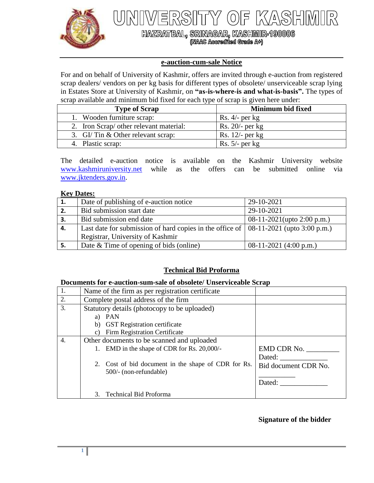

 $\sqrt{\Delta}$  $\mathbb{R}$ 

HAZRATBAL, SRINAGAR, KASHMIR-190006<br>(NAAC Accredited Grade A+)

### **e-auction-cum-sale Notice**

For and on behalf of University of Kashmir, offers are invited through e-auction from registered scrap dealers/ vendors on per kg basis for different types of obsolete/ unserviceable scrap lying in Estates Store at University of Kashmir, on **"as-is-where-is and what-is-basis".** The types of scrap available and minimum bid fixed for each type of scrap is given here under:

| <b>Type of Scrap</b>                    | <b>Minimum bid fixed</b> |
|-----------------------------------------|--------------------------|
| 1. Wooden furniture scrap:              | Rs. $4/-$ per kg         |
| 2. Iron Scrap/ other relevant material: | $Rs. 20/-$ per kg        |
| 3. GI/Tin & Other relevant scrap:       | Rs. $12/-$ per kg        |
| 4. Plastic scrap:                       | Rs. $5/-$ per kg         |

The detailed e-auction notice is available on the Kashmir University website [www.kashmiruniversity.net](http://www.kashmiruniversity.net/) while as the offers can be submitted online via [www.jktenders.gov.in.](http://www.jktenders.gov.in/)

#### **Key Dates:**

| 1. | Date of publishing of e-auction notice                                                       | 29-10-2021                       |
|----|----------------------------------------------------------------------------------------------|----------------------------------|
| 2. | Bid submission start date                                                                    | 29-10-2021                       |
| 3. | Bid submission end date                                                                      | 08-11-2021(upto 2:00 p.m.)       |
| 4. | Last date for submission of hard copies in the office of $\vert$ 08-11-2021 (upto 3:00 p.m.) |                                  |
|    | Registrar, University of Kashmir                                                             |                                  |
| 5. | Date & Time of opening of bids (online)                                                      | 08-11-2021 $(4:00 \text{ p.m.})$ |

# **Technical Bid Proforma**

## **Documents for e-auction-sum-sale of obsolete/ Unserviceable Scrap**

| 1.               | Name of the firm as per registration certificate                                          |                      |
|------------------|-------------------------------------------------------------------------------------------|----------------------|
| 2.               | Complete postal address of the firm                                                       |                      |
| $\overline{3}$ . | Statutory details (photocopy to be uploaded)<br>a) PAN<br>b) GST Registration certificate |                      |
|                  | <b>Firm Registration Certificate</b><br>$\mathbf{c}$                                      |                      |
| $\overline{4}$ . | Other documents to be scanned and uploaded                                                |                      |
|                  | 1. EMD in the shape of CDR for Rs. 20,000/-                                               | EMD CDR No.          |
|                  |                                                                                           | Dated:               |
|                  | 2. Cost of bid document in the shape of CDR for Rs.<br>500/- (non-refundable)             | Bid document CDR No. |
|                  |                                                                                           | Dated:               |
|                  | <b>Technical Bid Proforma</b><br>3.                                                       |                      |

### **Signature of the bidder**